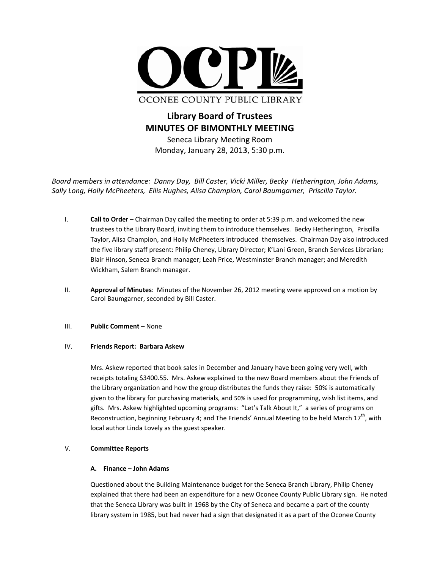

OCONEE COUNTY PUBLIC LIBRARY

**Library Board of Trustees MINUTES OF BIMONTHLY MEETING** Seneca Library Meeting Room Monday, January 28, 2013, 5:30 p.m.

Board members in attendance: Danny Day, Bill Caster, Vicki Miller, Becky Hetherington, John Adams, Sally Long, Holly McPheeters, Ellis Hughes, Alisa Champion, Carol Baumgarner, Priscilla Taylor.

- $\overline{L}$ Call to Order - Chairman Day called the meeting to order at 5:39 p.m. and welcomed the new trustees to the Library Board, inviting them to introduce themselves. Becky Hetherington, Priscilla Taylor, Alisa Champion, and Holly McPheeters introduced themselves. Chairman Day also introduced the five library staff present: Philip Cheney, Library Director; K'Lani Green, Branch Services Librarian; Blair Hinson, Seneca Branch manager; Leah Price, Westminster Branch manager; and Meredith Wickham, Salem Branch manager.
- $II.$ Approval of Minutes: Minutes of the November 26, 2012 meeting were approved on a motion by Carol Baumgarner, seconded by Bill Caster.

#### $III.$ **Public Comment - None**

#### IV. Friends Report: Barbara Askew

Mrs. Askew reported that book sales in December and January have been going very well, with receipts totaling \$3400.55. Mrs. Askew explained to the new Board members about the Friends of the Library organization and how the group distributes the funds they raise: 50% is automatically given to the library for purchasing materials, and 50% is used for programming, wish list items, and gifts. Mrs. Askew highlighted upcoming programs: "Let's Talk About It," a series of programs on Reconstruction, beginning February 4; and The Friends' Annual Meeting to be held March 17<sup>th</sup>, with local author Linda Lovely as the guest speaker.

#### V. **Committee Reports**

# A. Finance - John Adams

Questioned about the Building Maintenance budget for the Seneca Branch Library, Philip Cheney explained that there had been an expenditure for a new Oconee County Public Library sign. He noted that the Seneca Library was built in 1968 by the City of Seneca and became a part of the county library system in 1985, but had never had a sign that designated it as a part of the Oconee County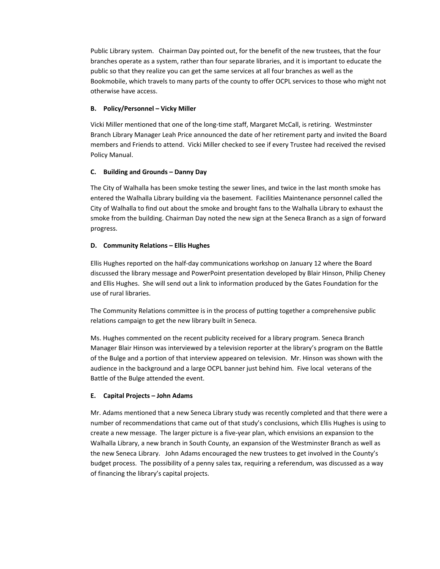Public Library system. Chairman Day pointed out, for the benefit of the new trustees, that the four branches operate as a system, rather than four separate libraries, and it is important to educate the public so that they realize you can get the same services at all four branches as well as the Bookmobile, which travels to many parts of the county to offer OCPL services to those who might not otherwise have access.

# **B. Policy/Personnel – Vicky Miller**

Vicki Miller mentioned that one of the long‐time staff, Margaret McCall, is retiring. Westminster Branch Library Manager Leah Price announced the date of her retirement party and invited the Board members and Friends to attend. Vicki Miller checked to see if every Trustee had received the revised Policy Manual.

## **C. Building and Grounds – Danny Day**

The City of Walhalla has been smoke testing the sewer lines, and twice in the last month smoke has entered the Walhalla Library building via the basement. Facilities Maintenance personnel called the City of Walhalla to find out about the smoke and brought fans to the Walhalla Library to exhaust the smoke from the building. Chairman Day noted the new sign at the Seneca Branch as a sign of forward progress.

## **D. Community Relations – Ellis Hughes**

Ellis Hughes reported on the half‐day communications workshop on January 12 where the Board discussed the library message and PowerPoint presentation developed by Blair Hinson, Philip Cheney and Ellis Hughes. She will send out a link to information produced by the Gates Foundation for the use of rural libraries.

The Community Relations committee is in the process of putting together a comprehensive public relations campaign to get the new library built in Seneca.

Ms. Hughes commented on the recent publicity received for a library program. Seneca Branch Manager Blair Hinson was interviewed by a television reporter at the library's program on the Battle of the Bulge and a portion of that interview appeared on television. Mr. Hinson was shown with the audience in the background and a large OCPL banner just behind him. Five local veterans of the Battle of the Bulge attended the event.

### **E. Capital Projects – John Adams**

Mr. Adams mentioned that a new Seneca Library study was recently completed and that there were a number of recommendations that came out of that study's conclusions, which Ellis Hughes is using to create a new message. The larger picture is a five‐year plan, which envisions an expansion to the Walhalla Library, a new branch in South County, an expansion of the Westminster Branch as well as the new Seneca Library. John Adams encouraged the new trustees to get involved in the County's budget process. The possibility of a penny sales tax, requiring a referendum, was discussed as a way of financing the library's capital projects.